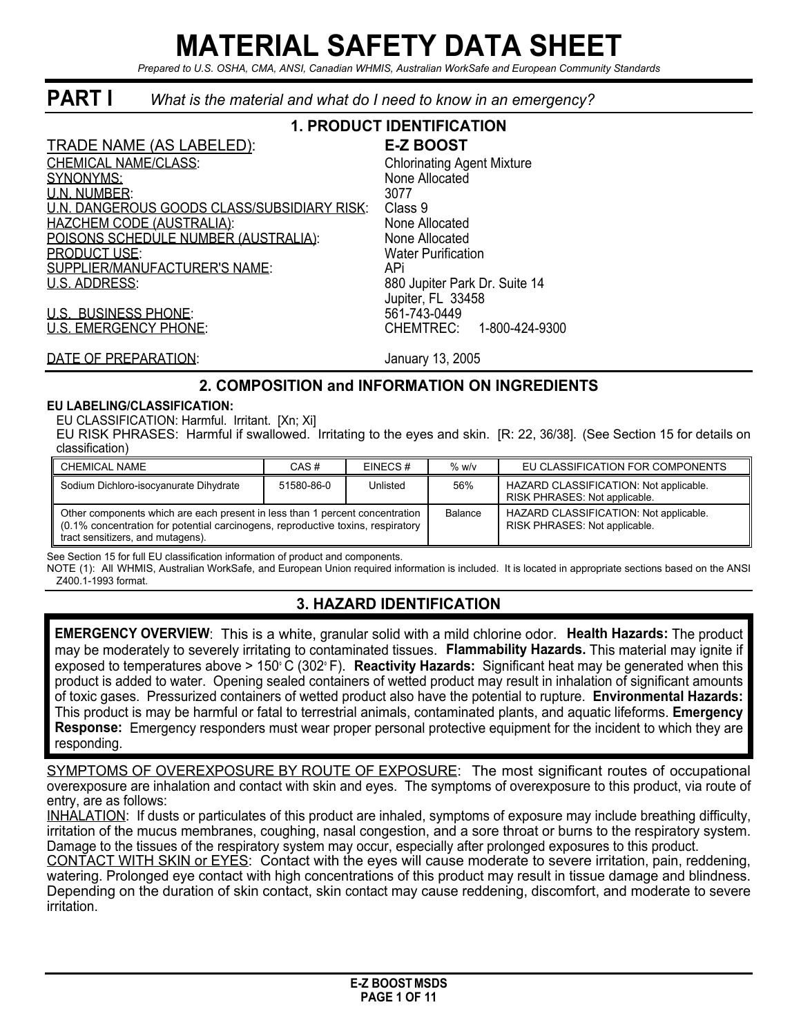# **MATERIAL SAFETY DATA SHEET**

*Prepared to U.S. OSHA, CMA, ANSI, Canadian WHMIS, Australian WorkSafe and European Community Standards*

# **PART I** *What is the material and what do I need to know in an emergency?*

#### **1. PRODUCT IDENTIFICATION** TRADE NAME (AS LABELED): **E-Z BOOST** CHEMICAL NAME/CLASS: Chlorinating Agent Mixture SYNONYMS: None Allocated U.N. NUMBER: 3077 U.N. DANGEROUS GOODS CLASS/SUBSIDIARY RISK: HAZCHEM CODE (AUSTRALIA): None Allocated POISONS SCHEDULE NUMBER (AUSTRALIA): None Allocated<br>PRODUCT USE: Nater Purification **PRODUCT USE:** SUPPLIER/MANUFACTURER'S NAME: API U.S. ADDRESS: 880 Jupiter Park Dr. Suite 14 Jupiter, FL 33458 U.S. BUSINESS PHONE: 561-743-0449 U.S. EMERGENCY PHONE: CHEMTREC: 1-800-424-9300

DATE OF PREPARATION: January 13, 2005

#### **2. COMPOSITION and INFORMATION ON INGREDIENTS**

#### **EU LABELING/CLASSIFICATION:**

EU CLASSIFICATION: Harmful. Irritant. [Xn; Xi]

EU RISK PHRASES: Harmful if swallowed. Irritating to the eyes and skin. [R: 22, 36/38]. (See Section 15 for details on classification)

| <b>CHEMICAL NAME</b>                                                                                                                                                                                 | CAS#       | EINECS#  | $%$ w/v        | EU CLASSIFICATION FOR COMPONENTS                                        |
|------------------------------------------------------------------------------------------------------------------------------------------------------------------------------------------------------|------------|----------|----------------|-------------------------------------------------------------------------|
| Sodium Dichloro-isocyanurate Dihydrate                                                                                                                                                               | 51580-86-0 | Unlisted | 56%            | HAZARD CLASSIFICATION: Not applicable.<br>RISK PHRASES: Not applicable. |
| Other components which are each present in less than 1 percent concentration<br>(0.1% concentration for potential carcinogens, reproductive toxins, respiratory<br>tract sensitizers, and mutagens). |            |          | <b>Balance</b> | HAZARD CLASSIFICATION: Not applicable.<br>RISK PHRASES: Not applicable. |

See Section 15 for full EU classification information of product and components.

NOTE (1): All WHMIS, Australian WorkSafe, and European Union required information is included. It is located in appropriate sections based on the ANSI Z400.1-1993 format.

# **3. HAZARD IDENTIFICATION**

**EMERGENCY OVERVIEW**: This is a white, granular solid with a mild chlorine odor. **Health Hazards:** The product may be moderately to severely irritating to contaminated tissues. **Flammability Hazards.** This material may ignite if exposed to temperatures above > 150° C (302° F). **Reactivity Hazards:** Significant heat may be generated when this product is added to water. Opening sealed containers of wetted product may result in inhalation of significant amounts of toxic gases. Pressurized containers of wetted product also have the potential to rupture. **Environmental Hazards:** This product is may be harmful or fatal to terrestrial animals, contaminated plants, and aquatic lifeforms. **Emergency Response:** Emergency responders must wear proper personal protective equipment for the incident to which they are responding.

SYMPTOMS OF OVEREXPOSURE BY ROUTE OF EXPOSURE: The most significant routes of occupational overexposure are inhalation and contact with skin and eyes. The symptoms of overexposure to this product, via route of entry, are as follows:

INHALATION: If dusts or particulates of this product are inhaled, symptoms of exposure may include breathing difficulty, irritation of the mucus membranes, coughing, nasal congestion, and a sore throat or burns to the respiratory system. Damage to the tissues of the respiratory system may occur, especially after prolonged exposures to this product.

CONTACT WITH SKIN or EYES: Contact with the eyes will cause moderate to severe irritation, pain, reddening, watering. Prolonged eye contact with high concentrations of this product may result in tissue damage and blindness. Depending on the duration of skin contact, skin contact may cause reddening, discomfort, and moderate to severe irritation.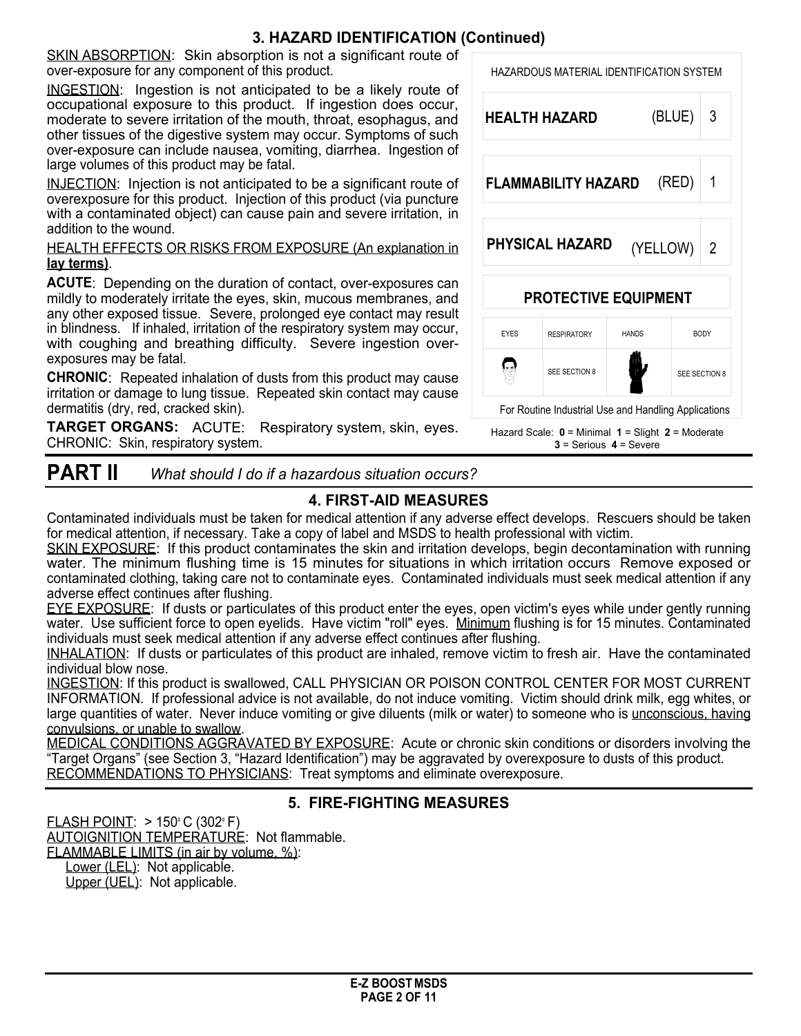# **3. HAZARD IDENTIFICATION (Continued)**

SKIN ABSORPTION: Skin absorption is not a significant route of over-exposure for any component of this product.

INGESTION: Ingestion is not anticipated to be a likely route of occupational exposure to this product. If ingestion does occur, moderate to severe irritation of the mouth, throat, esophagus, and other tissues of the digestive system may occur. Symptoms of such over-exposure can include nausea, vomiting, diarrhea. Ingestion of large volumes of this product may be fatal.

INJECTION: Injection is not anticipated to be a significant route of overexposure for this product. Injection of this product (via puncture with a contaminated object) can cause pain and severe irritation, in addition to the wound.

HEALTH EFFECTS OR RISKS FROM EXPOSURE (An explanation in **lay terms)**.

**ACUTE**: Depending on the duration of contact, over-exposures can mildly to moderately irritate the eyes, skin, mucous membranes, and any other exposed tissue. Severe, prolonged eye contact may result in blindness. If inhaled, irritation of the respiratory system may occur, with coughing and breathing difficulty. Severe ingestion overexposures may be fatal.

**CHRONIC**: Repeated inhalation of dusts from this product may cause irritation or damage to lung tissue. Repeated skin contact may cause dermatitis (dry, red, cracked skin).

**TARGET ORGANS:** ACUTE: Respiratory system, skin, eyes. CHRONIC: Skin, respiratory system.



# HAZARDOUS MATERIAL IDENTIFICATION SYSTEM **HEALTH HAZARD** (BLUE) 3 **FLAMMABILITY HAZARD** (RED) 1 **PHYSICAL HAZARD** 2 (YELLOW) **PROTECTIVE EQUIPMENT** EYES RESPIRATORY HANDS BODY 曲  $\bigcirc$ ₩ SEE SECTION 8 SEE SECTION 8 For Routine Industrial Use and Handling Applications Hazard Scale: **0** = Minimal **1** = Slight **2** = Moderate



# **4. FIRST-AID MEASURES**

Contaminated individuals must be taken for medical attention if any adverse effect develops. Rescuers should be taken for medical attention, if necessary. Take a copy of label and MSDS to health professional with victim.

SKIN EXPOSURE: If this product contaminates the skin and irritation develops, begin decontamination with running water. The minimum flushing time is 15 minutes for situations in which irritation occurs Remove exposed or contaminated clothing, taking care not to contaminate eyes. Contaminated individuals must seek medical attention if any adverse effect continues after flushing.

EYE EXPOSURE: If dusts or particulates of this product enter the eyes, open victim's eyes while under gently running water. Use sufficient force to open eyelids. Have victim "roll" eyes. Minimum flushing is for 15 minutes. Contaminated individuals must seek medical attention if any adverse effect continues after flushing.

INHALATION: If dusts or particulates of this product are inhaled, remove victim to fresh air. Have the contaminated individual blow nose.

INGESTION: If this product is swallowed, CALL PHYSICIAN OR POISON CONTROL CENTER FOR MOST CURRENT INFORMATION. If professional advice is not available, do not induce vomiting. Victim should drink milk, egg whites, or large quantities of water. Never induce vomiting or give diluents (milk or water) to someone who is unconscious, having convulsions, or unable to swallow.

MEDICAL CONDITIONS AGGRAVATED BY EXPOSURE: Acute or chronic skin conditions or disorders involving the "Target Organs" (see Section 3, "Hazard Identification") may be aggravated by overexposure to dusts of this product. RECOMMENDATIONS TO PHYSICIANS: Treat symptoms and eliminate overexposure.

# **5. FIRE-FIGHTING MEASURES**

FLASH POINT:  $> 150^{\circ}$  C (302 $^{\circ}$  F) AUTOIGNITION TEMPERATURE: Not flammable. FLAMMABLE LIMITS (in air by volume, %): Lower (LEL): Not applicable.

Upper (UEL): Not applicable.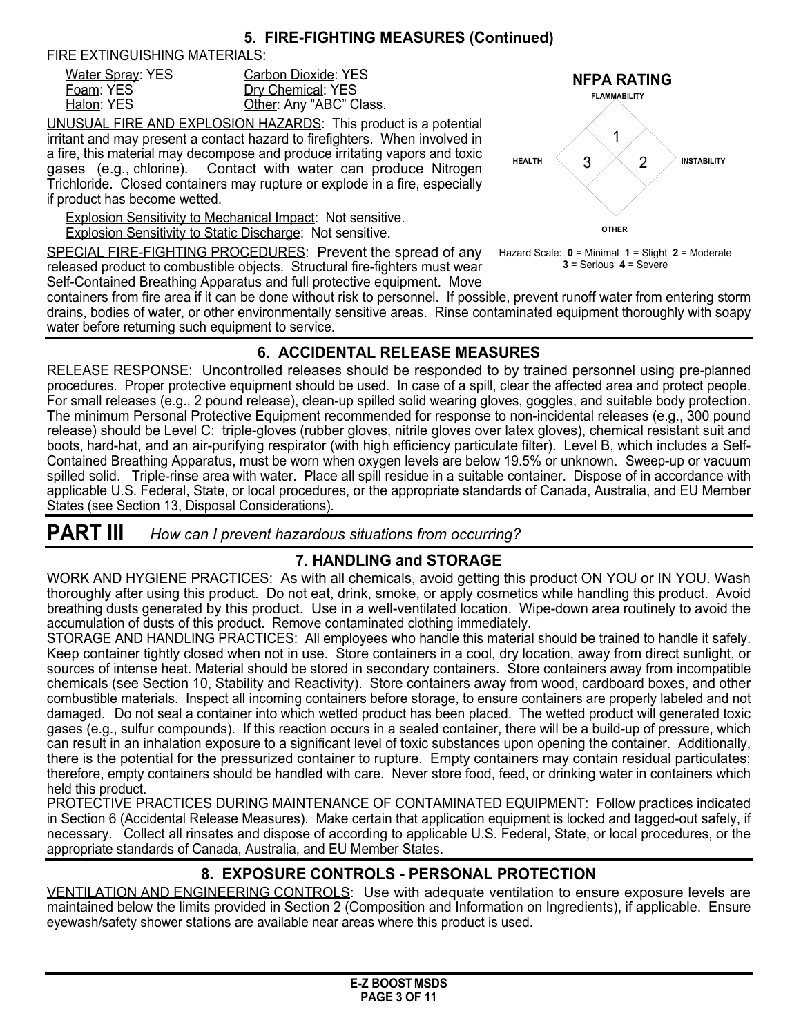### **5. FIRE-FIGHTING MEASURES (Continued)**

FIRE EXTINGUISHING MATERIALS:

| Water Spray: YES | Carbon Dioxide: YES     |
|------------------|-------------------------|
| Foam: YES        | Dry Chemical: YES       |
| Halon: YES       | Other: Any "ABC" Class. |

UNUSUAL FIRE AND EXPLOSION HAZARDS: This product is a potential irritant and may present a contact hazard to firefighters. When involved in a fire, this material may decompose and produce irritating vapors and toxic gases (e.g., chlorine). Contact with water can produce Nitrogen Trichloride. Closed containers may rupture or explode in a fire, especially if product has become wetted.

Explosion Sensitivity to Mechanical Impact: Not sensitive.

Explosion Sensitivity to Static Discharge: Not sensitive.

SPECIAL FIRE-FIGHTING PROCEDURES: Prevent the spread of any released product to combustible objects. Structural fire-fighters must wear Self-Contained Breathing Apparatus and full protective equipment. Move



Hazard Scale: **0** = Minimal **1** = Slight **2** = Moderate **3** = Serious **4** = Severe

containers from fire area if it can be done without risk to personnel. If possible, prevent runoff water from entering storm drains, bodies of water, or other environmentally sensitive areas. Rinse contaminated equipment thoroughly with soapy water before returning such equipment to service.

# **6. ACCIDENTAL RELEASE MEASURES**

RELEASE RESPONSE: Uncontrolled releases should be responded to by trained personnel using pre-planned procedures. Proper protective equipment should be used. In case of a spill, clear the affected area and protect people. For small releases (e.g., 2 pound release), clean-up spilled solid wearing gloves, goggles, and suitable body protection. The minimum Personal Protective Equipment recommended for response to non-incidental releases (e.g., 300 pound release) should be Level C: triple-gloves (rubber gloves, nitrile gloves over latex gloves), chemical resistant suit and boots, hard-hat, and an air-purifying respirator (with high efficiency particulate filter). Level B, which includes a Self-Contained Breathing Apparatus, must be worn when oxygen levels are below 19.5% or unknown. Sweep-up or vacuum spilled solid. Triple-rinse area with water. Place all spill residue in a suitable container. Dispose of in accordance with applicable U.S. Federal, State, or local procedures, or the appropriate standards of Canada, Australia, and EU Member States (see Section 13, Disposal Considerations).

| <b>PART III</b> |  | How can I prevent hazardous situations from occurring? |  |  |
|-----------------|--|--------------------------------------------------------|--|--|
|-----------------|--|--------------------------------------------------------|--|--|

# **7. HANDLING and STORAGE**

WORK AND HYGIENE PRACTICES: As with all chemicals, avoid getting this product ON YOU or IN YOU. Wash thoroughly after using this product. Do not eat, drink, smoke, or apply cosmetics while handling this product. Avoid breathing dusts generated by this product. Use in a well-ventilated location. Wipe-down area routinely to avoid the accumulation of dusts of this product. Remove contaminated clothing immediately.

STORAGE AND HANDLING PRACTICES: All employees who handle this material should be trained to handle it safely. Keep container tightly closed when not in use. Store containers in a cool, dry location, away from direct sunlight, or sources of intense heat. Material should be stored in secondary containers. Store containers away from incompatible chemicals (see Section 10, Stability and Reactivity). Store containers away from wood, cardboard boxes, and other combustible materials. Inspect all incoming containers before storage, to ensure containers are properly labeled and not damaged. Do not seal a container into which wetted product has been placed. The wetted product will generated toxic gases (e.g., sulfur compounds). If this reaction occurs in a sealed container, there will be a build-up of pressure, which can result in an inhalation exposure to a significant level of toxic substances upon opening the container. Additionally, there is the potential for the pressurized container to rupture. Empty containers may contain residual particulates; therefore, empty containers should be handled with care. Never store food, feed, or drinking water in containers which held this product.

PROTECTIVE PRACTICES DURING MAINTENANCE OF CONTAMINATED EQUIPMENT: Follow practices indicated in Section 6 (Accidental Release Measures). Make certain that application equipment is locked and tagged-out safely, if necessary. Collect all rinsates and dispose of according to applicable U.S. Federal, State, or local procedures, or the appropriate standards of Canada, Australia, and EU Member States.

# **8. EXPOSURE CONTROLS - PERSONAL PROTECTION**

VENTILATION AND ENGINEERING CONTROLS: Use with adequate ventilation to ensure exposure levels are maintained below the limits provided in Section 2 (Composition and Information on Ingredients), if applicable. Ensure eyewash/safety shower stations are available near areas where this product is used.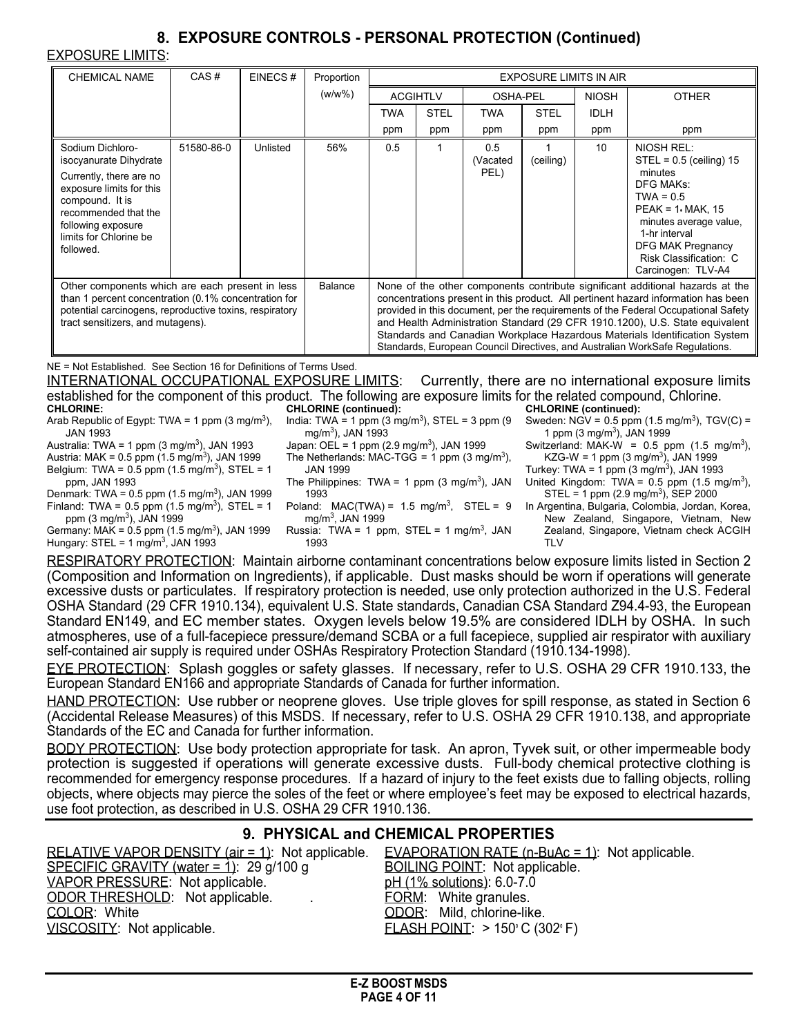# **8. EXPOSURE CONTROLS - PERSONAL PROTECTION (Continued)**

EXPOSURE LIMITS:

| <b>CHEMICAL NAME</b>                                                                                                                                                                                                                                                                                                                                                                                                                                                                                                                                                                 | CAS#       | EINECS#                                                                                                                                                                                                                                                                                                                                                                                                                                                                                                                      | Proportion | <b>EXPOSURE LIMITS IN AIR</b> |             |                         |             |              |                                                                                                                                                                                                                      |
|--------------------------------------------------------------------------------------------------------------------------------------------------------------------------------------------------------------------------------------------------------------------------------------------------------------------------------------------------------------------------------------------------------------------------------------------------------------------------------------------------------------------------------------------------------------------------------------|------------|------------------------------------------------------------------------------------------------------------------------------------------------------------------------------------------------------------------------------------------------------------------------------------------------------------------------------------------------------------------------------------------------------------------------------------------------------------------------------------------------------------------------------|------------|-------------------------------|-------------|-------------------------|-------------|--------------|----------------------------------------------------------------------------------------------------------------------------------------------------------------------------------------------------------------------|
|                                                                                                                                                                                                                                                                                                                                                                                                                                                                                                                                                                                      |            |                                                                                                                                                                                                                                                                                                                                                                                                                                                                                                                              | $(w/w\%)$  | <b>ACGIHTLV</b>               |             | OSHA-PEL                |             | <b>NIOSH</b> | <b>OTHER</b>                                                                                                                                                                                                         |
|                                                                                                                                                                                                                                                                                                                                                                                                                                                                                                                                                                                      |            |                                                                                                                                                                                                                                                                                                                                                                                                                                                                                                                              |            | <b>TWA</b>                    | <b>STEL</b> | <b>TWA</b>              | <b>STEL</b> | <b>IDLH</b>  |                                                                                                                                                                                                                      |
|                                                                                                                                                                                                                                                                                                                                                                                                                                                                                                                                                                                      |            |                                                                                                                                                                                                                                                                                                                                                                                                                                                                                                                              |            | ppm                           | ppm         | ppm                     | ppm         | ppm          | ppm                                                                                                                                                                                                                  |
| Sodium Dichloro-<br>isocyanurate Dihydrate<br>Currently, there are no<br>exposure limits for this<br>compound. It is<br>recommended that the<br>following exposure<br>limits for Chlorine be<br>followed.                                                                                                                                                                                                                                                                                                                                                                            | 51580-86-0 | Unlisted                                                                                                                                                                                                                                                                                                                                                                                                                                                                                                                     | 56%        | 0.5                           |             | 0.5<br>(Vacated<br>PEL) | (ceiling)   | 10           | <b>NIOSH REL:</b><br>$STEL = 0.5$ (ceiling) 15<br>minutes<br><b>DFG MAKs:</b><br>$TWA = 0.5$<br>$PEAK = 1. MAX, 15$<br>minutes average value.<br>1-hr interval<br><b>DFG MAK Pregnancy</b><br>Risk Classification: C |
| Other components which are each present in less<br><b>Balance</b><br>than 1 percent concentration (0.1% concentration for<br>potential carcinogens, reproductive toxins, respiratory<br>tract sensitizers, and mutagens).                                                                                                                                                                                                                                                                                                                                                            |            | Carcinogen: TLV-A4<br>None of the other components contribute significant additional hazards at the<br>concentrations present in this product. All pertinent hazard information has been<br>provided in this document, per the requirements of the Federal Occupational Safety<br>and Health Administration Standard (29 CFR 1910.1200), U.S. State equivalent<br>Standards and Canadian Workplace Hazardous Materials Identification System<br>Standards, European Council Directives, and Australian WorkSafe Regulations. |            |                               |             |                         |             |              |                                                                                                                                                                                                                      |
| NE = Not Established. See Section 16 for Definitions of Terms Used.<br><u>INTERNATIONAL OCCUPATIONAL EXPOSURE LIMITS:</u><br>Currently, there are no international exposure limits<br>established for the component of this product. The following are exposure limits for the related compound, Chlorine.<br><b>CHLORINE</b> (continued):<br><b>CHLORINE</b> (continued):<br><b>CHLORINE:</b><br>India: TWA = 1 ppm (3 mg/m <sup>3</sup> ), STEL = 3 ppm (9 Sweden: NGV = 0.5 ppm (1.5 mg/m <sup>3</sup> ), TGV(C) =<br>Arab Republic of Egypt: TWA = 1 ppm (3 mg/m <sup>3</sup> ), |            |                                                                                                                                                                                                                                                                                                                                                                                                                                                                                                                              |            |                               |             |                         |             |              |                                                                                                                                                                                                                      |

JAN 1993

Australia: TWA = 1 ppm  $(3 \text{ mg/m}^3)$ , JAN 1993

- Austria: MAK = 0.5 ppm (1.5 mg/m<sup>3</sup>), JAN 1999
- Belgium: TWA =  $0.5$  ppm (1.5 mg/m<sup>3</sup>), STEL = 1 ppm, JAN 1993

Denmark: TWA =  $0.5$  ppm (1.5 mg/m<sup>3</sup>), JAN 1999 Finland: TWA =  $0.5$  ppm (1.5 mg/m<sup>3</sup>), STEL = 1 ppm (3 mg/m<sup>3</sup>), JAN 1999

Germany: MAK =  $0.5$  ppm (1.5 mg/m<sup>3</sup>), JAN 1999 Hungary: STEL = 1 mg/m<sup>3</sup>, JAN 1993

- mg/m<sup>3</sup> ), JAN 1993
- Japan: OEL = 1 ppm (2.9 mg/m<sup>3</sup>), JAN 1999 The Netherlands: MAC-TGG = 1 ppm (3 mg/m<sup>3</sup>),
- JAN 1999 The Philippines: TWA = 1 ppm (3 mg/m<sup>3</sup>), JAN 1993 Poland: MAC(TWA) =  $1.5 \text{ mg/m}^3$ , STEL = 9
- mg/m<sup>3</sup> , JAN 1999

Russia: TWA = 1 ppm,  $STEL = 1$  mg/m<sup>3</sup>, JAN 1993

1 ppm  $(3 \text{ mg/m}^3)$ , JAN 1999 Switzerland: MAK-W = 0.5 ppm  $(1.5 \text{ mg/m}^3)$ , KZG-W = 1 ppm  $(3 \text{ mg/m}^3)$ , JAN 1999 Turkey: TWA = 1 ppm (3 mg/m<sup>3</sup>), JAN 1993

United Kingdom: TWA =  $0.5$  ppm (1.5 mg/m<sup>3</sup>),  $STEL = 1$  ppm (2.9 mg/m<sup>3</sup>), SEP 2000

In Argentina, Bulgaria, Colombia, Jordan, Korea, New Zealand, Singapore, Vietnam, New Zealand, Singapore, Vietnam check ACGIH TI<sub>V</sub>

RESPIRATORY PROTECTION: Maintain airborne contaminant concentrations below exposure limits listed in Section 2 (Composition and Information on Ingredients), if applicable. Dust masks should be worn if operations will generate excessive dusts or particulates. If respiratory protection is needed, use only protection authorized in the U.S. Federal OSHA Standard (29 CFR 1910.134), equivalent U.S. State standards, Canadian CSA Standard Z94.4-93, the European Standard EN149, and EC member states. Oxygen levels below 19.5% are considered IDLH by OSHA. In such atmospheres, use of a full-facepiece pressure/demand SCBA or a full facepiece, supplied air respirator with auxiliary self-contained air supply is required under OSHAs Respiratory Protection Standard (1910.134-1998).

EYE PROTECTION: Splash goggles or safety glasses. If necessary, refer to U.S. OSHA 29 CFR 1910.133, the European Standard EN166 and appropriate Standards of Canada for further information.

HAND PROTECTION: Use rubber or neoprene gloves. Use triple gloves for spill response, as stated in Section 6 (Accidental Release Measures) of this MSDS. If necessary, refer to U.S. OSHA 29 CFR 1910.138, and appropriate Standards of the EC and Canada for further information.

BODY PROTECTION: Use body protection appropriate for task. An apron, Tyvek suit, or other impermeable body protection is suggested if operations will generate excessive dusts. Full-body chemical protective clothing is recommended for emergency response procedures. If a hazard of injury to the feet exists due to falling objects, rolling objects, where objects may pierce the soles of the feet or where employee's feet may be exposed to electrical hazards, use foot protection, as described in U.S. OSHA 29 CFR 1910.136.

# **9. PHYSICAL and CHEMICAL PROPERTIES**

RELATIVE VAPOR DENSITY (air = 1): Not applicable. EVAPORATION RATE (n-BuAc = 1): Not applicable. SPECIFIC GRAVITY (water  $= 1$ ): 29 g/100 g BOILING POINT: Not applicable. VAPOR PRESSURE: Not applicable. pH (1% solutions): 6.0-7.0 ODOR THRESHOLD: Not applicable. . . The FORM: White granules. COLOR: White COLOR: Mild, chlorine-like. VISCOSITY: Not applicable. FLASH POINT: > 150°C (302°F)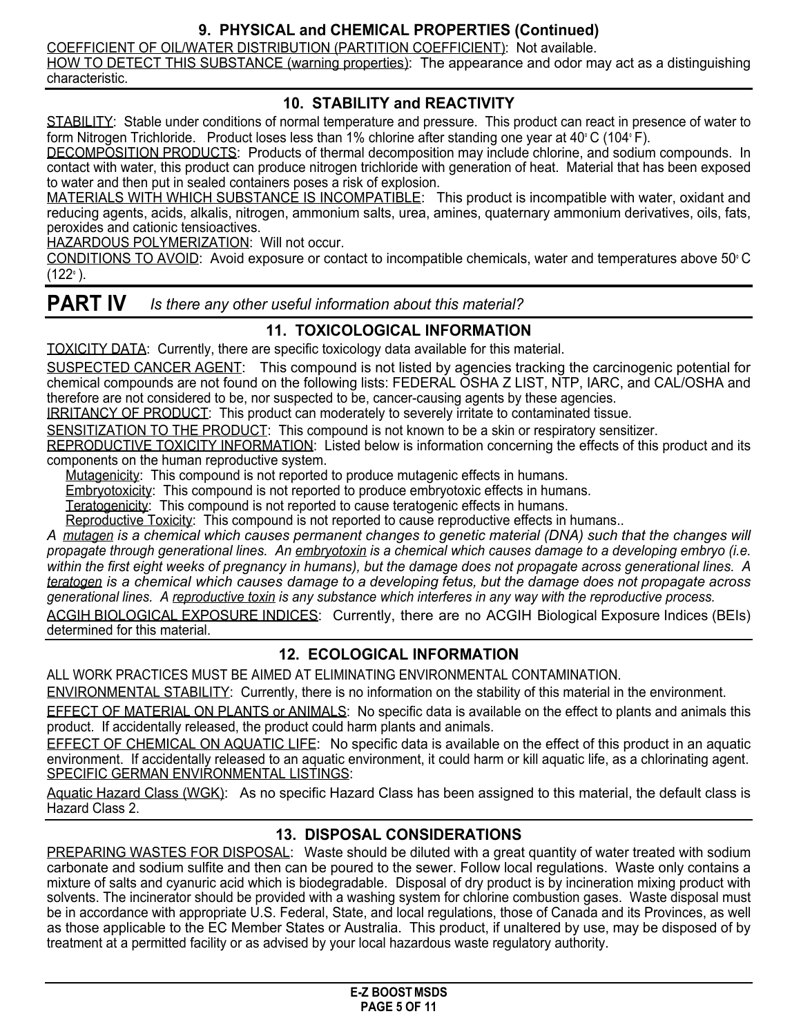# **9. PHYSICAL and CHEMICAL PROPERTIES (Continued)**

COEFFICIENT OF OIL/WATER DISTRIBUTION (PARTITION COEFFICIENT): Not available.

HOW TO DETECT THIS SUBSTANCE (warning properties): The appearance and odor may act as a distinguishing characteristic.

## **10. STABILITY and REACTIVITY**

STABILITY: Stable under conditions of normal temperature and pressure. This product can react in presence of water to form Nitrogen Trichloride. Product loses less than 1% chlorine after standing one year at 40° C (104° F).

DECOMPOSITION PRODUCTS: Products of thermal decomposition may include chlorine, and sodium compounds. In contact with water, this product can produce nitrogen trichloride with generation of heat. Material that has been exposed to water and then put in sealed containers poses a risk of explosion.

MATERIALS WITH WHICH SUBSTANCE IS INCOMPATIBLE: This product is incompatible with water, oxidant and reducing agents, acids, alkalis, nitrogen, ammonium salts, urea, amines, quaternary ammonium derivatives, oils, fats, peroxides and cationic tensioactives.

HAZARDOUS POLYMERIZATION: Will not occur.

CONDITIONS TO AVOID: Avoid exposure or contact to incompatible chemicals, water and temperatures above 50° C (122° ).

**PART IV** *Is there any other useful information about this material?*

# **11. TOXICOLOGICAL INFORMATION**

TOXICITY DATA: Currently, there are specific toxicology data available for this material.

SUSPECTED CANCER AGENT: This compound is not listed by agencies tracking the carcinogenic potential for chemical compounds are not found on the following lists: FEDERAL OSHA Z LIST, NTP, IARC, and CAL/OSHA and therefore are not considered to be, nor suspected to be, cancer-causing agents by these agencies.

IRRITANCY OF PRODUCT: This product can moderately to severely irritate to contaminated tissue.

SENSITIZATION TO THE PRODUCT: This compound is not known to be a skin or respiratory sensitizer.

REPRODUCTIVE TOXICITY INFORMATION: Listed below is information concerning the effects of this product and its components on the human reproductive system.

Mutagenicity: This compound is not reported to produce mutagenic effects in humans.

Embryotoxicity: This compound is not reported to produce embryotoxic effects in humans.

Teratogenicity: This compound is not reported to cause teratogenic effects in humans.

Reproductive Toxicity: This compound is not reported to cause reproductive effects in humans..

A mutagen is a chemical which causes permanent changes to genetic material (DNA) such that the changes will propagate through generational lines. An embryotoxin is a chemical which causes damage to a developing embryo (i.e. within the first eight weeks of pregnancy in humans), but the damage does not propagate across generational lines. A teratogen is a chemical which causes damage to a developing fetus, but the damage does not propagate across generational lines. A reproductive toxin is any substance which interferes in any way with the reproductive process. ACGIH BIOLOGICAL EXPOSURE INDICES: Currently, there are no ACGIH Biological Exposure Indices (BEIs)

determined for this material.

# **12. ECOLOGICAL INFORMATION**

ALL WORK PRACTICES MUST BE AIMED AT ELIMINATING ENVIRONMENTAL CONTAMINATION.

ENVIRONMENTAL STABILITY: Currently, there is no information on the stability of this material in the environment.

EFFECT OF MATERIAL ON PLANTS or ANIMALS: No specific data is available on the effect to plants and animals this product. If accidentally released, the product could harm plants and animals.

EFFECT OF CHEMICAL ON AQUATIC LIFE: No specific data is available on the effect of this product in an aquatic environment. If accidentally released to an aquatic environment, it could harm or kill aquatic life, as a chlorinating agent. SPECIFIC GERMAN ENVIRONMENTAL LISTINGS:

Aquatic Hazard Class (WGK): As no specific Hazard Class has been assigned to this material, the default class is Hazard Class 2.

#### **13. DISPOSAL CONSIDERATIONS**

PREPARING WASTES FOR DISPOSAL: Waste should be diluted with a great quantity of water treated with sodium carbonate and sodium sulfite and then can be poured to the sewer. Follow local regulations. Waste only contains a mixture of salts and cyanuric acid which is biodegradable. Disposal of dry product is by incineration mixing product with solvents. The incinerator should be provided with a washing system for chlorine combustion gases. Waste disposal must be in accordance with appropriate U.S. Federal, State, and local regulations, those of Canada and its Provinces, as well as those applicable to the EC Member States or Australia. This product, if unaltered by use, may be disposed of by treatment at a permitted facility or as advised by your local hazardous waste regulatory authority.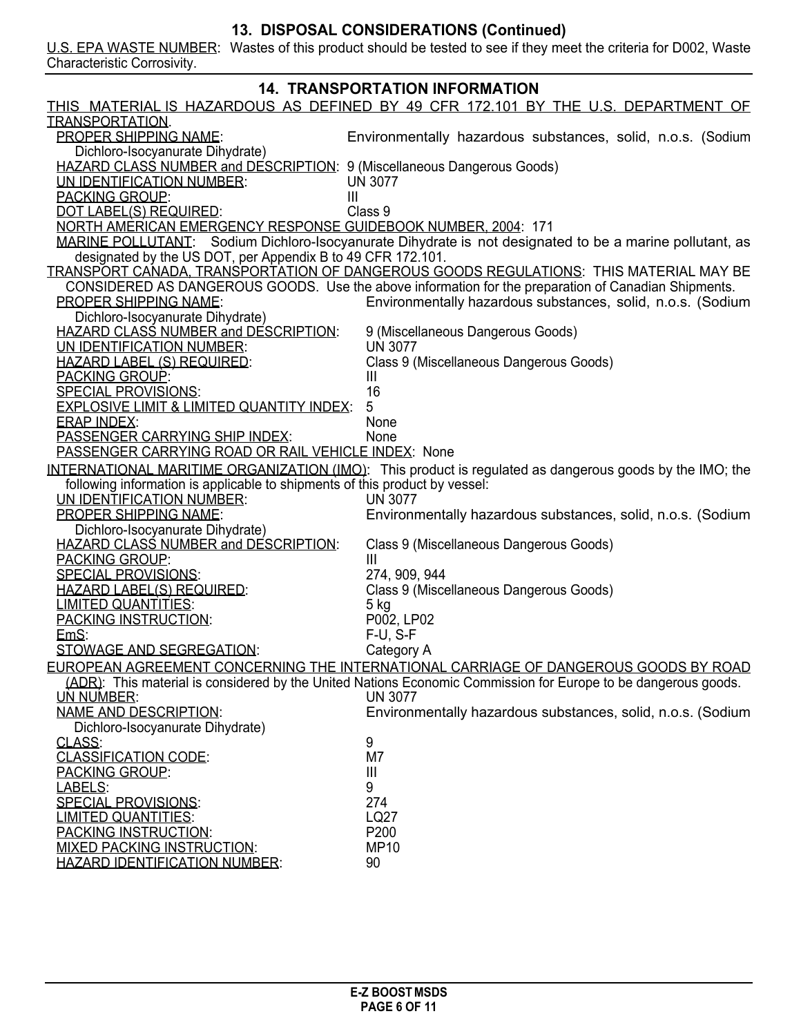#### **13. DISPOSAL CONSIDERATIONS (Continued)**

U.S. EPA WASTE NUMBER: Wastes of this product should be tested to see if they meet the criteria for D002, Waste Characteristic Corrosivity.

| <b>14. TRANSPORTATION INFORMATION</b>                                       |                                                                                                                |  |  |  |
|-----------------------------------------------------------------------------|----------------------------------------------------------------------------------------------------------------|--|--|--|
|                                                                             | <u>THIS MATERIAL IS HAZARDOUS AS DEFINED BY 49 CFR 172.101 BY THE U.S. DEPARTMENT OF </u>                      |  |  |  |
| <b>TRANSPORTATION</b>                                                       |                                                                                                                |  |  |  |
| <b>PROPER SHIPPING NAME:</b>                                                | Environmentally hazardous substances, solid, n.o.s. (Sodium                                                    |  |  |  |
| Dichloro-Isocyanurate Dihydrate)                                            |                                                                                                                |  |  |  |
| HAZARD CLASS NUMBER and DESCRIPTION: 9 (Miscellaneous Dangerous Goods)      |                                                                                                                |  |  |  |
| UN IDENTIFICATION NUMBER:                                                   | <b>UN 3077</b>                                                                                                 |  |  |  |
|                                                                             |                                                                                                                |  |  |  |
| <b>PACKING GROUP:</b><br>Ш                                                  |                                                                                                                |  |  |  |
| DOT LABEL(S) REQUIRED:                                                      | Class 9                                                                                                        |  |  |  |
| NORTH AMERICAN EMERGENCY RESPONSE GUIDEBOOK NUMBER, 2004: 171               |                                                                                                                |  |  |  |
|                                                                             | MARINE POLLUTANT: Sodium Dichloro-Isocyanurate Dihydrate is not designated to be a marine pollutant, as        |  |  |  |
| designated by the US DOT, per Appendix B to 49 CFR 172.101.                 |                                                                                                                |  |  |  |
|                                                                             | TRANSPORT CANADA. TRANSPORTATION OF DANGEROUS GOODS REGULATIONS: THIS MATERIAL MAY BE                          |  |  |  |
|                                                                             | CONSIDERED AS DANGEROUS GOODS. Use the above information for the preparation of Canadian Shipments.            |  |  |  |
| <b>PROPER SHIPPING NAME:</b>                                                | Environmentally hazardous substances, solid, n.o.s. (Sodium                                                    |  |  |  |
| Dichloro-Isocyanurate Dihydrate)                                            |                                                                                                                |  |  |  |
| HAZARD CLASS NUMBER and DESCRIPTION:                                        | 9 (Miscellaneous Dangerous Goods)                                                                              |  |  |  |
| UN IDENTIFICATION NUMBER:                                                   | <b>UN 3077</b>                                                                                                 |  |  |  |
| <b>HAZARD LABEL (S) REQUIRED:</b>                                           | Class 9 (Miscellaneous Dangerous Goods)                                                                        |  |  |  |
| <b>PACKING GROUP:</b>                                                       | Ш                                                                                                              |  |  |  |
| <b>SPECIAL PROVISIONS:</b>                                                  | 16                                                                                                             |  |  |  |
| <b>EXPLOSIVE LIMIT &amp; LIMITED QUANTITY INDEX:</b>                        | 5                                                                                                              |  |  |  |
| <b>ERAP INDEX:</b>                                                          | None                                                                                                           |  |  |  |
| <b>PASSENGER CARRYING SHIP INDEX:</b>                                       | None                                                                                                           |  |  |  |
| PASSENGER CARRYING ROAD OR RAIL VEHICLE INDEX: None                         |                                                                                                                |  |  |  |
|                                                                             | INTERNATIONAL MARITIME ORGANIZATION (IMO): This product is regulated as dangerous goods by the IMO; the        |  |  |  |
| following information is applicable to shipments of this product by vessel: |                                                                                                                |  |  |  |
|                                                                             |                                                                                                                |  |  |  |
| UN IDENTIFICATION NUMBER:                                                   | <b>UN 3077</b>                                                                                                 |  |  |  |
| <b>PROPER SHIPPING NAME:</b>                                                | Environmentally hazardous substances, solid, n.o.s. (Sodium                                                    |  |  |  |
| Dichloro-Isocyanurate Dihydrate)                                            |                                                                                                                |  |  |  |
| <b>HAZARD CLASS NUMBER and DESCRIPTION:</b>                                 | Class 9 (Miscellaneous Dangerous Goods)                                                                        |  |  |  |
| <b>PACKING GROUP:</b>                                                       | Ш                                                                                                              |  |  |  |
| <b>SPECIAL PROVISIONS:</b>                                                  | 274, 909, 944                                                                                                  |  |  |  |
| <b>HAZARD LABEL(S) REQUIRED:</b>                                            | Class 9 (Miscellaneous Dangerous Goods)                                                                        |  |  |  |
| <b>LIMITED QUANTITIES:</b>                                                  | 5 kg                                                                                                           |  |  |  |
| <b>PACKING INSTRUCTION:</b>                                                 | P002, LP02                                                                                                     |  |  |  |
| EmS:                                                                        | $F-U$ , $S-F$                                                                                                  |  |  |  |
| STOWAGE AND SEGREGATION:                                                    | Category A                                                                                                     |  |  |  |
|                                                                             | EUROPEAN AGREEMENT CONCERNING THE INTERNATIONAL CARRIAGE OF DANGEROUS GOODS BY ROAD                            |  |  |  |
|                                                                             | (ADR): This material is considered by the United Nations Economic Commission for Europe to be dangerous goods. |  |  |  |
| <b>UN NUMBER:</b>                                                           | <b>UN 3077</b>                                                                                                 |  |  |  |
| <b>NAME AND DESCRIPTION:</b>                                                | Environmentally hazardous substances, solid, n.o.s. (Sodium                                                    |  |  |  |
| Dichloro-Isocyanurate Dihydrate)                                            |                                                                                                                |  |  |  |
| CLASS:                                                                      | 9                                                                                                              |  |  |  |
| <b>CLASSIFICATION CODE:</b>                                                 | M7                                                                                                             |  |  |  |
| <b>PACKING GROUP:</b>                                                       | Ш                                                                                                              |  |  |  |
| LABELS:                                                                     | 9                                                                                                              |  |  |  |
| <b>SPECIAL PROVISIONS:</b>                                                  |                                                                                                                |  |  |  |
|                                                                             | 274                                                                                                            |  |  |  |
| <b>LIMITED QUANTITIES:</b>                                                  | LQ27                                                                                                           |  |  |  |
| <b>PACKING INSTRUCTION:</b>                                                 | P200                                                                                                           |  |  |  |
| <b>MIXED PACKING INSTRUCTION:</b>                                           | <b>MP10</b>                                                                                                    |  |  |  |
| <b>HAZARD IDENTIFICATION NUMBER:</b>                                        | 90                                                                                                             |  |  |  |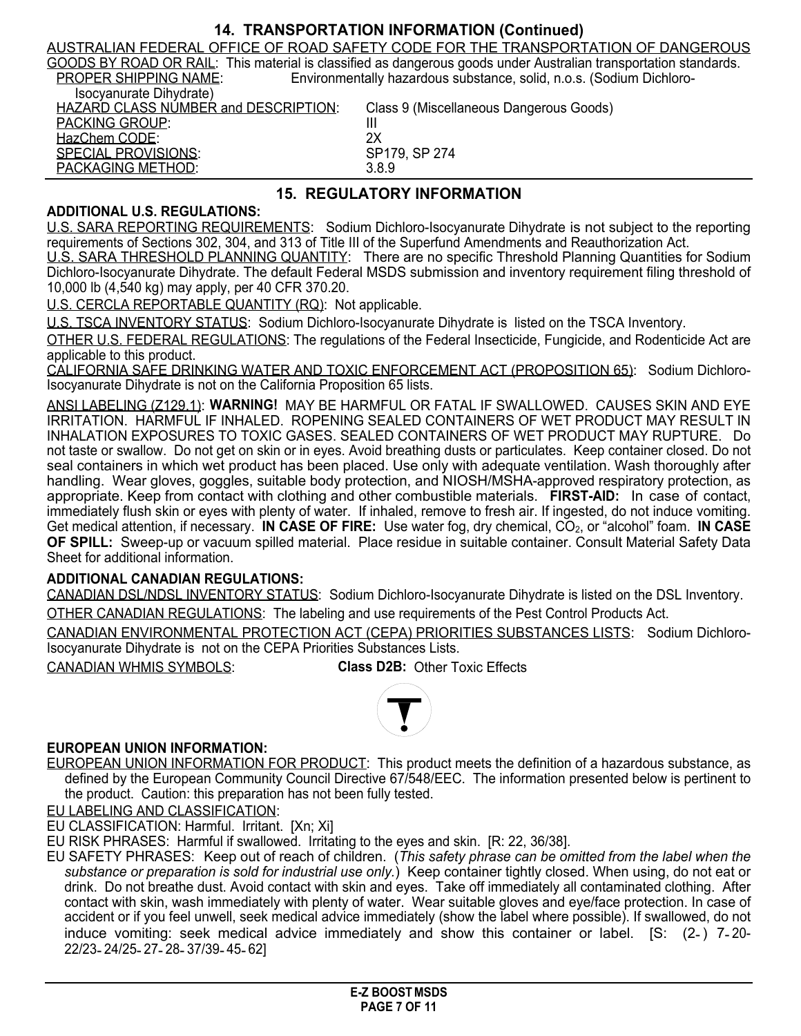### **14. TRANSPORTATION INFORMATION (Continued)**

AUSTRALIAN FEDERAL OFFICE OF ROAD SAFETY CODE FOR THE TRANSPORTATION OF DANGEROUS GOODS BY ROAD OR RAIL: This material is classified as dangerous goods under Australian transportation standards. PROPER SHIPPING NAME: Environmentally hazardous substance, solid, n.o.s. (Sodium Dichloro-

| Isocyanurate Dihydrate)                     |                                         |
|---------------------------------------------|-----------------------------------------|
| <b>HAZARD CLASS NUMBER and DESCRIPTION:</b> | Class 9 (Miscellaneous Dangerous Goods) |
| <b>PACKING GROUP:</b>                       | Ш                                       |
| HazChem CODE:                               | 2X                                      |
| SPECIAL PROVISIONS:                         | SP179, SP 274                           |
| PACKAGING METHOD:                           | 3.8.9                                   |

# **15. REGULATORY INFORMATION**

#### **ADDITIONAL U.S. REGULATIONS:**

U.S. SARA REPORTING REQUIREMENTS: Sodium Dichloro-Isocyanurate Dihydrate is not subject to the reporting requirements of Sections 302, 304, and 313 of Title III of the Superfund Amendments and Reauthorization Act.

U.S. SARA THRESHOLD PLANNING QUANTITY: There are no specific Threshold Planning Quantities for Sodium Dichloro-Isocyanurate Dihydrate. The default Federal MSDS submission and inventory requirement filing threshold of 10,000 lb (4,540 kg) may apply, per 40 CFR 370.20.

U.S. CERCLA REPORTABLE QUANTITY (RQ): Not applicable.

U.S. TSCA INVENTORY STATUS: Sodium Dichloro-Isocyanurate Dihydrate is listed on the TSCA Inventory.

OTHER U.S. FEDERAL REGULATIONS: The regulations of the Federal Insecticide, Fungicide, and Rodenticide Act are applicable to this product.

CALIFORNIA SAFE DRINKING WATER AND TOXIC ENFORCEMENT ACT (PROPOSITION 65): Sodium Dichloro-Isocyanurate Dihydrate is not on the California Proposition 65 lists.

ANSI LABELING (Z129.1): **WARNING!** MAY BE HARMFUL OR FATAL IF SWALLOWED. CAUSES SKIN AND EYE IRRITATION. HARMFUL IF INHALED. ROPENING SEALED CONTAINERS OF WET PRODUCT MAY RESULT IN INHALATION EXPOSURES TO TOXIC GASES. SEALED CONTAINERS OF WET PRODUCT MAY RUPTURE. Do not taste or swallow. Do not get on skin or in eyes. Avoid breathing dusts or particulates. Keep container closed. Do not seal containers in which wet product has been placed. Use only with adequate ventilation. Wash thoroughly after handling. Wear gloves, goggles, suitable body protection, and NIOSH/MSHA-approved respiratory protection, as appropriate. Keep from contact with clothing and other combustible materials. **FIRST-AID:** In case of contact, immediately flush skin or eyes with plenty of water. If inhaled, remove to fresh air. If ingested, do not induce vomiting. Get medical attention, if necessary. **IN CASE OF FIRE:** Use water fog, dry chemical, CO2, or "alcohol" foam. **IN CASE OF SPILL:** Sweep-up or vacuum spilled material. Place residue in suitable container. Consult Material Safety Data Sheet for additional information.

#### **ADDITIONAL CANADIAN REGULATIONS:**

CANADIAN DSL/NDSL INVENTORY STATUS: Sodium Dichloro-Isocyanurate Dihydrate is listed on the DSL Inventory.

OTHER CANADIAN REGULATIONS: The labeling and use requirements of the Pest Control Products Act.

CANADIAN ENVIRONMENTAL PROTECTION ACT (CEPA) PRIORITIES SUBSTANCES LISTS: Sodium Dichloro-Isocyanurate Dihydrate is not on the CEPA Priorities Substances Lists.

CANADIAN WHMIS SYMBOLS: **Class D2B:** Other Toxic Effects



#### **EUROPEAN UNION INFORMATION:**

EUROPEAN UNION INFORMATION FOR PRODUCT: This product meets the definition of a hazardous substance, as defined by the European Community Council Directive 67/548/EEC. The information presented below is pertinent to the product. Caution: this preparation has not been fully tested.

EU LABELING AND CLASSIFICATION:

EU CLASSIFICATION: Harmful. Irritant. [Xn; Xi]

EU RISK PHRASES: Harmful if swallowed. Irritating to the eyes and skin. [R: 22, 36/38].

EU SAFETY PHRASES: Keep out of reach of children. (*This safety phrase can be omitted from the label when the substance or preparation is sold for industrial use only.*) Keep container tightly closed. When using, do not eat or drink. Do not breathe dust. Avoid contact with skin and eyes. Take off immediately all contaminated clothing. After contact with skin, wash immediately with plenty of water. Wear suitable gloves and eye/face protection. In case of accident or if you feel unwell, seek medical advice immediately (show the label where possible). If swallowed, do not induce vomiting: seek medical advice immediately and show this container or label. [S: (2-) 7-20-22/23- 24/25- 27- 28- 37/39- 45- 62]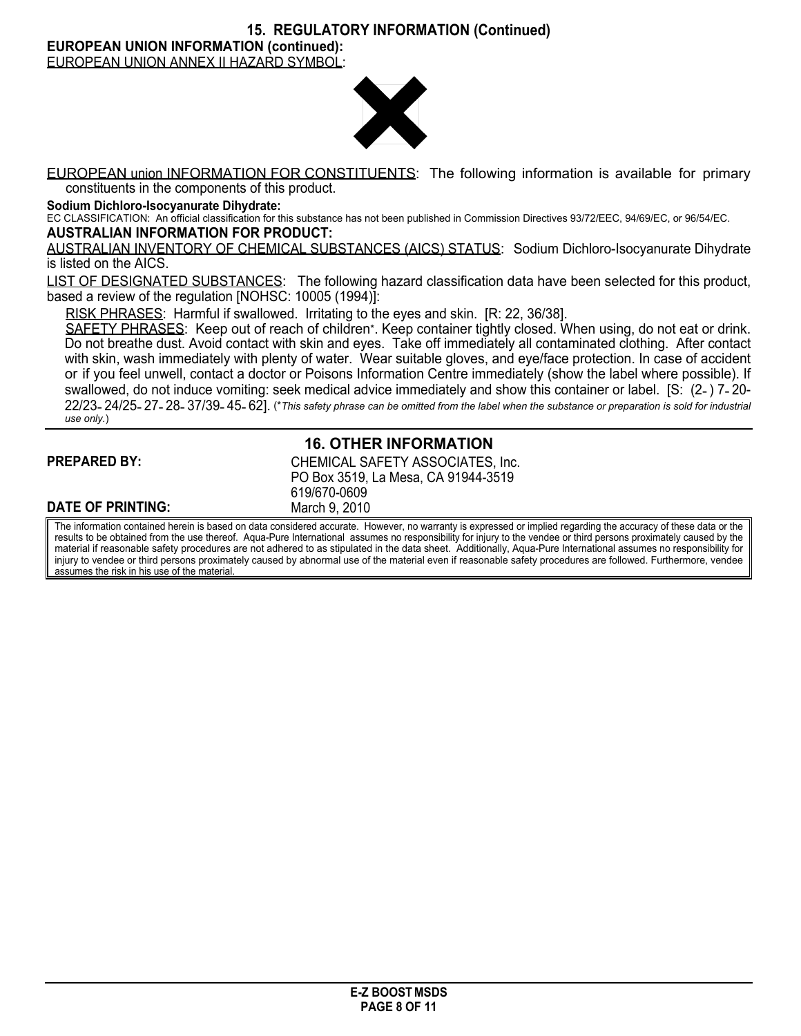**15. REGULATORY INFORMATION (Continued)**

**EUROPEAN UNION INFORMATION (continued):**

EUROPEAN UNION ANNEX II HAZARD SYMBOL:



EUROPEAN union INFORMATION FOR CONSTITUENTS: The following information is available for primary constituents in the components of this product.

**Sodium Dichloro-Isocyanurate Dihydrate:**

EC CLASSIFICATION: An official classification for this substance has not been published in Commission Directives 93/72/EEC, 94/69/EC, or 96/54/EC. **AUSTRALIAN INFORMATION FOR PRODUCT:**

AUSTRALIAN INVENTORY OF CHEMICAL SUBSTANCES (AICS) STATUS: Sodium Dichloro-Isocyanurate Dihydrate is listed on the AICS.

LIST OF DESIGNATED SUBSTANCES: The following hazard classification data have been selected for this product, based a review of the regulation [NOHSC: 10005 (1994)]:

RISK PHRASES: Harmful if swallowed. Irritating to the eyes and skin. [R: 22, 36/38].

SAFETY PHRASES: Keep out of reach of children\*. Keep container tightly closed. When using, do not eat or drink. Do not breathe dust. Avoid contact with skin and eyes. Take off immediately all contaminated clothing. After contact with skin, wash immediately with plenty of water. Wear suitable gloves, and eye/face protection. In case of accident or if you feel unwell, contact a doctor or Poisons Information Centre immediately (show the label where possible). If swallowed, do not induce vomiting: seek medical advice immediately and show this container or label. [S: (2- ) 7- 20- 22/23-24/25-27-28-37/39-45-62]. (\*This safety phrase can be omitted from the label when the substance or preparation is sold for industrial *use only.*)

#### **PREPARED BY:**

# **16. OTHER INFORMATION**

| <b>PREPARED BY:</b> | CHEMICAL SAFETY ASSOCIATES, Inc.<br>PO Box 3519, La Mesa, CA 91944-3519 |
|---------------------|-------------------------------------------------------------------------|
|                     | 619/670-0609                                                            |
| DATE OF PRINTING:   | March 9, 2010                                                           |

The information contained herein is based on data considered accurate. However, no warranty is expressed or implied regarding the accuracy of these data or the results to be obtained from the use thereof. Aqua-Pure International assumes no responsibility for injury to the vendee or third persons proximately caused by the material if reasonable safety procedures are not adhered to as stipulated in the data sheet. Additionally, Aqua-Pure International assumes no responsibility for injury to vendee or third persons proximately caused by abnormal use of the material even if reasonable safety procedures are followed. Furthermore, vendee assumes the risk in his use of the material.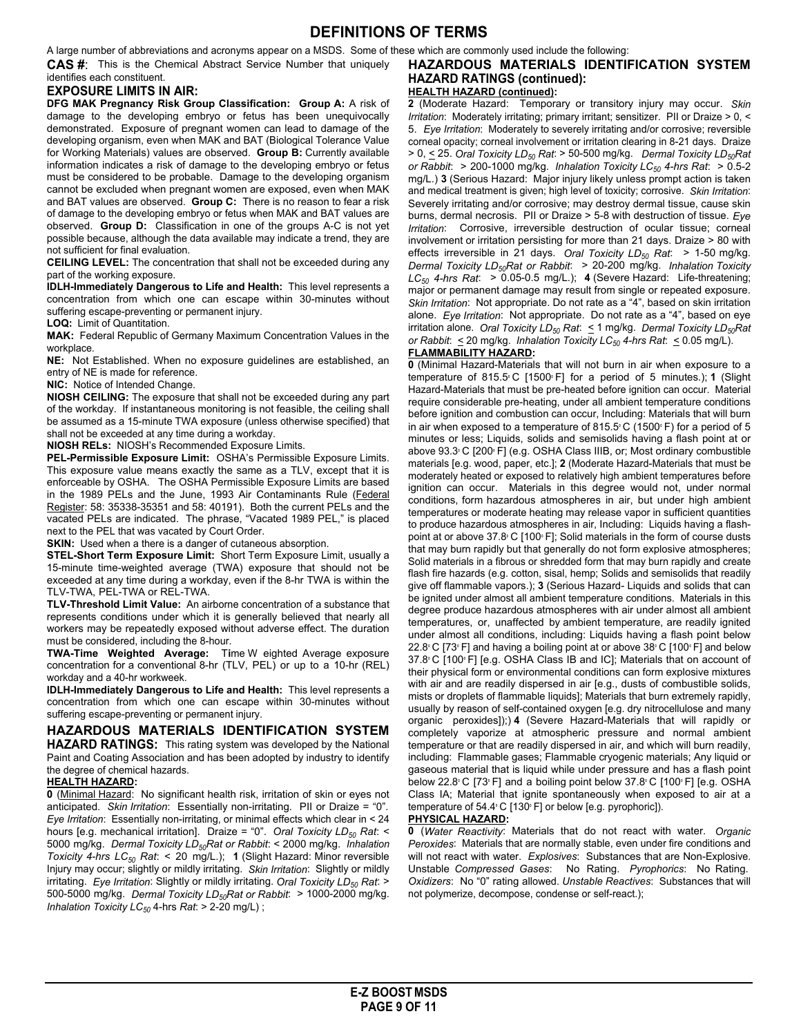#### **DEFINITIONS OF TERMS**

A large number of abbreviations and acronyms appear on a MSDS. Some of these which are commonly used include the following:

**CAS #**: This is the Chemical Abstract Service Number that uniquely identifies each constituent.

#### **EXPOSURE LIMITS IN AIR:**

**DFG MAK Pregnancy Risk Group Classification: Group A:** A risk of damage to the developing embryo or fetus has been unequivocally demonstrated. Exposure of pregnant women can lead to damage of the developing organism, even when MAK and BAT (Biological Tolerance Value for Working Materials) values are observed. **Group B:** Currently available information indicates a risk of damage to the developing embryo or fetus must be considered to be probable. Damage to the developing organism cannot be excluded when pregnant women are exposed, even when MAK and BAT values are observed. **Group C:** There is no reason to fear a risk of damage to the developing embryo or fetus when MAK and BAT values are observed. **Group D:** Classification in one of the groups A-C is not yet possible because, although the data available may indicate a trend, they are not sufficient for final evaluation.

**CEILING LEVEL:** The concentration that shall not be exceeded during any part of the working exposure.

**IDLH-Immediately Dangerous to Life and Health:** This level represents a concentration from which one can escape within 30-minutes without suffering escape-preventing or permanent injury.

**LOQ:** Limit of Quantitation.

**MAK:** Federal Republic of Germany Maximum Concentration Values in the workplace.

**NE:** Not Established. When no exposure guidelines are established, an entry of NE is made for reference.

#### **NIC:** Notice of Intended Change.

**NIOSH CEILING:** The exposure that shall not be exceeded during any part of the workday. If instantaneous monitoring is not feasible, the ceiling shall be assumed as a 15-minute TWA exposure (unless otherwise specified) that shall not be exceeded at any time during a workday.

**NIOSH RELs:** NIOSH's Recommended Exposure Limits.

**PEL-Permissible Exposure Limit:** OSHA's Permissible Exposure Limits. This exposure value means exactly the same as a TLV, except that it is enforceable by OSHA. The OSHA Permissible Exposure Limits are based in the 1989 PELs and the June, 1993 Air Contaminants Rule (Federal Register: 58: 35338-35351 and 58: 40191). Both the current PELs and the vacated PELs are indicated. The phrase, "Vacated 1989 PEL," is placed next to the PEL that was vacated by Court Order.

**SKIN:** Used when a there is a danger of cutaneous absorption.

**STEL-Short Term Exposure Limit:** Short Term Exposure Limit, usually a 15-minute time-weighted average (TWA) exposure that should not be exceeded at any time during a workday, even if the 8-hr TWA is within the TLV-TWA, PEL-TWA or REL-TWA.

**TLV-Threshold Limit Value:** An airborne concentration of a substance that represents conditions under which it is generally believed that nearly all workers may be repeatedly exposed without adverse effect. The duration must be considered, including the 8-hour.

**TWA-Time Weighted Average:** T**i**me W eighted Average exposure concentration for a conventional 8-hr (TLV, PEL) or up to a 10-hr (REL) workday and a 40-hr workweek.

**IDLH-Immediately Dangerous to Life and Health:** This level represents a concentration from which one can escape within 30-minutes without suffering escape-preventing or permanent injury.

#### **HAZARDOUS MATERIALS IDENTIFICATION SYSTEM HAZARD RATINGS:** This rating system was developed by the National Paint and Coating Association and has been adopted by industry to identify the degree of chemical hazards.

#### **HEALTH HAZARD:**

**0** (Minimal Hazard: No significant health risk, irritation of skin or eyes not anticipated. *Skin Irritation*: Essentially non-irritating. PII or Draize = "0". *Eye Irritation*: Essentially non-irritating, or minimal effects which clear in < 24 hours [e.g. mechanical irritation]. Draize = "0". *Oral Toxicity LD<sup>50</sup> Rat*: < 5000 mg/kg. *Dermal Toxicity LD50Rat or Rabbit*: < 2000 mg/kg. *Inhalation Toxicity 4-hrs LC<sup>50</sup> Rat*: < 20 mg/L.); **1** (Slight Hazard: Minor reversible Injury may occur; slightly or mildly irritating. *Skin Irritation*: Slightly or mildly irritating. *Eye Irritation*: Slightly or mildly irritating. *Oral Toxicity LD<sup>50</sup> Rat*: > 500-5000 mg/kg. *Dermal Toxicity LD50Rat or Rabbit*: > 1000-2000 mg/kg. *Inhalation Toxicity LC<sup>50</sup>* 4-hrs *Rat*: > 2-20 mg/L) ;

#### **HAZARDOUS MATERIALS IDENTIFICATION SYSTEM HAZARD RATINGS (continued): HEALTH HAZARD (continued):**

**2** (Moderate Hazard: Temporary or transitory injury may occur. *Skin Irritation*: Moderately irritating; primary irritant; sensitizer. PII or Draize > 0, < 5. *Eye Irritation*: Moderately to severely irritating and/or corrosive; reversible corneal opacity; corneal involvement or irritation clearing in 8-21 days. Draize > 0, < 25. *Oral Toxicity LD<sup>50</sup> Rat*: > 50-500 mg/kg. *Dermal Toxicity LD50Rat or Rabbit*: > 200-1000 mg/kg. *Inhalation Toxicity LC<sup>50</sup> 4-hrs Rat*: > 0.5-2 mg/L.) **3** (Serious Hazard: Major injury likely unless prompt action is taken and medical treatment is given; high level of toxicity; corrosive. *Skin Irritation*: Severely irritating and/or corrosive; may destroy dermal tissue, cause skin burns, dermal necrosis. PII or Draize > 5-8 with destruction of tissue. *Eye Irritation*: Corrosive, irreversible destruction of ocular tissue; corneal involvement or irritation persisting for more than 21 days. Draize > 80 with effects irreversible in 21 days. *Oral Toxicity LD<sup>50</sup> Rat*: > 1-50 mg/kg. *Dermal Toxicity LD50Rat or Rabbit*: > 20-200 mg/kg. *Inhalation Toxicity LC<sup>50</sup> 4-hrs Rat*: > 0.05-0.5 mg/L.); **4** (Severe Hazard: Life-threatening; major or permanent damage may result from single or repeated exposure. *Skin Irritation*: Not appropriate. Do not rate as a "4", based on skin irritation alone. *Eye Irritation*: Not appropriate. Do not rate as a "4", based on eye irritation alone. *Oral Toxicity LD<sup>50</sup> Rat*: < 1 mg/kg. *Dermal Toxicity LD50Rat or* Rabbit:  $\leq$  20 mg/kg. *Inhalation Toxicity LC*<sub>50</sub> 4-hrs Rat:  $\leq$  0.05 mg/L).

#### **FLAMMABILITY HAZARD:**

**0** (Minimal Hazard-Materials that will not burn in air when exposure to a temperature of 815.5° C [1500° F] for a period of 5 minutes.); **1** (Slight Hazard-Materials that must be pre-heated before ignition can occur. Material require considerable pre-heating, under all ambient temperature conditions before ignition and combustion can occur, Including: Materials that will burn in air when exposed to a temperature of 815.5° C (1500° F) for a period of 5 minutes or less; Liquids, solids and semisolids having a flash point at or above 93.3° C [200° F] (e.g. OSHA Class IIIB, or; Most ordinary combustible materials [e.g. wood, paper, etc.]; **2** (Moderate Hazard-Materials that must be moderately heated or exposed to relatively high ambient temperatures before ignition can occur. Materials in this degree would not, under normal conditions, form hazardous atmospheres in air, but under high ambient temperatures or moderate heating may release vapor in sufficient quantities to produce hazardous atmospheres in air, Including: Liquids having a flashpoint at or above 37.8° C [100° F]; Solid materials in the form of course dusts that may burn rapidly but that generally do not form explosive atmospheres; Solid materials in a fibrous or shredded form that may burn rapidly and create flash fire hazards (e.g. cotton, sisal, hemp; Solids and semisolids that readily give off flammable vapors.); **3** (Serious Hazard- Liquids and solids that can be ignited under almost all ambient temperature conditions. Materials in this degree produce hazardous atmospheres with air under almost all ambient temperatures, or, unaffected by ambient temperature, are readily ignited under almost all conditions, including: Liquids having a flash point below 22.8° C [73° F] and having a boiling point at or above 38° C [100° F] and below 37.8° C [100° F] [e.g. OSHA Class IB and IC]; Materials that on account of their physical form or environmental conditions can form explosive mixtures with air and are readily dispersed in air [e.g., dusts of combustible solids, mists or droplets of flammable liquids]; Materials that burn extremely rapidly, usually by reason of self-contained oxygen [e.g. dry nitrocellulose and many organic peroxides]);) **4** (Severe Hazard-Materials that will rapidly or completely vaporize at atmospheric pressure and normal ambient temperature or that are readily dispersed in air, and which will burn readily, including: Flammable gases; Flammable cryogenic materials; Any liquid or gaseous material that is liquid while under pressure and has a flash point below 22.8° C [73° F] and a boiling point below 37.8° C [100° F] [e.g. OSHA Class IA; Material that ignite spontaneously when exposed to air at a temperature of 54.4° C [130° F] or below [e.g. pyrophoric]).

#### **PHYSICAL HAZARD:**

**0** (*Water Reactivity*: Materials that do not react with water. *Organic Peroxides*: Materials that are normally stable, even under fire conditions and will not react with water. *Explosives*: Substances that are Non-Explosive. Unstable *Compressed Gases*: No Rating. *Pyrophorics*: No Rating. *Oxidizers*: No "0" rating allowed. *Unstable Reactives*: Substances that will not polymerize, decompose, condense or self-react.);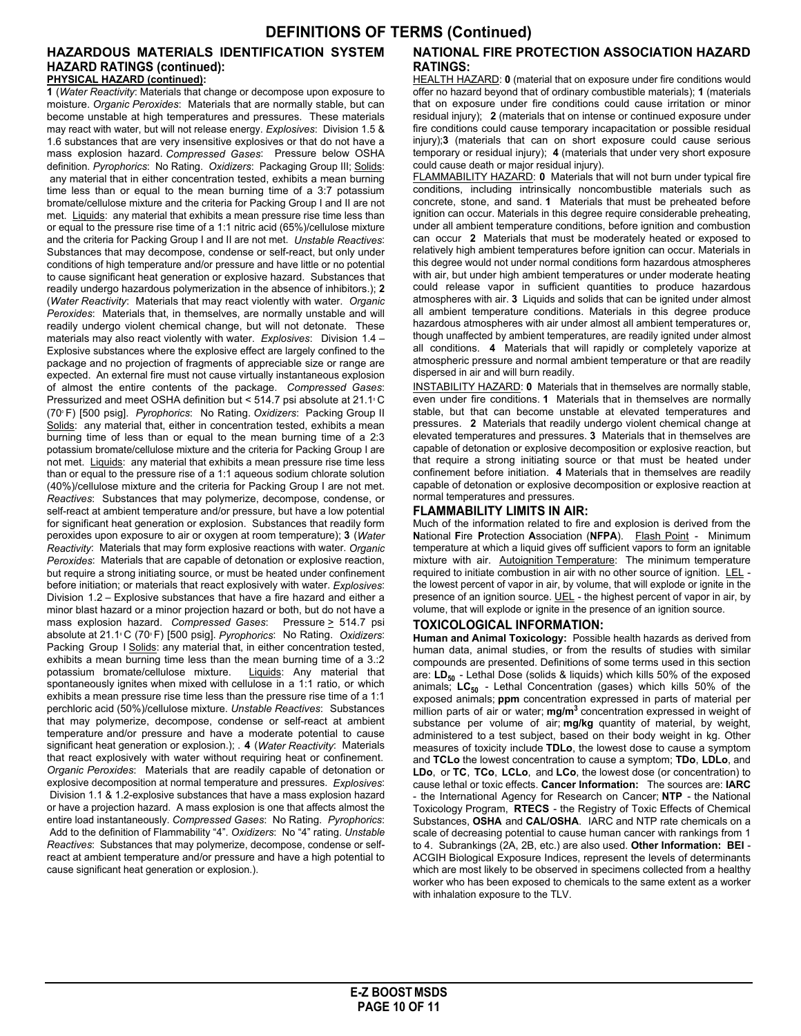#### **HAZARDOUS MATERIALS IDENTIFICATION SYSTEM HAZARD RATINGS (continued):**

**PHYSICAL HAZARD (continued):**

**1** (*Water Reactivity*: Materials that change or decompose upon exposure to moisture. *Organic Peroxides*: Materials that are normally stable, but can become unstable at high temperatures and pressures. These materials may react with water, but will not release energy. *Explosives*: Division 1.5 & 1.6 substances that are very insensitive explosives or that do not have a mass explosion hazard. *Compressed Gases*: Pressure below OSHA definition. *Pyrophorics*: No Rating. *Oxidizers*: Packaging Group III; Solids: any material that in either concentration tested, exhibits a mean burning time less than or equal to the mean burning time of a 3:7 potassium bromate/cellulose mixture and the criteria for Packing Group I and II are not met. Liquids: any material that exhibits a mean pressure rise time less than or equal to the pressure rise time of a 1:1 nitric acid (65%)/cellulose mixture and the criteria for Packing Group I and II are not met. *Unstable Reactives*: Substances that may decompose, condense or self-react, but only under conditions of high temperature and/or pressure and have little or no potential to cause significant heat generation or explosive hazard. Substances that readily undergo hazardous polymerization in the absence of inhibitors.); **2** (*Water Reactivity*: Materials that may react violently with water. *Organic Peroxides*: Materials that, in themselves, are normally unstable and will readily undergo violent chemical change, but will not detonate. These materials may also react violently with water. *Explosives*: Division 1.4 – Explosive substances where the explosive effect are largely confined to the package and no projection of fragments of appreciable size or range are expected. An external fire must not cause virtually instantaneous explosion of almost the entire contents of the package. *Compressed Gases*: Pressurized and meet OSHA definition but < 514.7 psi absolute at 21.1° C (70° F) [500 psig]. *Pyrophorics*: No Rating. *Oxidizers*: Packing Group II Solids: any material that, either in concentration tested, exhibits a mean burning time of less than or equal to the mean burning time of a 2:3 potassium bromate/cellulose mixture and the criteria for Packing Group I are not met. Liquids: any material that exhibits a mean pressure rise time less than or equal to the pressure rise of a 1:1 aqueous sodium chlorate solution (40%)/cellulose mixture and the criteria for Packing Group I are not met. *Reactives*: Substances that may polymerize, decompose, condense, or self-react at ambient temperature and/or pressure, but have a low potential for significant heat generation or explosion. Substances that readily form peroxides upon exposure to air or oxygen at room temperature); **3** (*Water Reactivity*: Materials that may form explosive reactions with water. *Organic Peroxides*: Materials that are capable of detonation or explosive reaction, but require a strong initiating source, or must be heated under confinement before initiation; or materials that react explosively with water. *Explosives*: Division 1.2 – Explosive substances that have a fire hazard and either a minor blast hazard or a minor projection hazard or both, but do not have a mass explosion hazard. *Compressed Gases*: Pressure > 514.7 psi absolute at 21.1° C (70° F) [500 psig]. *Pyrophorics*: No Rating. *Oxidizers*: Packing Group I Solids: any material that, in either concentration tested, exhibits a mean burning time less than the mean burning time of a 3.:2 potassium bromate/cellulose mixture. Liquids: Any material that spontaneously ignites when mixed with cellulose in a 1:1 ratio, or which exhibits a mean pressure rise time less than the pressure rise time of a 1:1 perchloric acid (50%)/cellulose mixture. *Unstable Reactives*: Substances that may polymerize, decompose, condense or self-react at ambient temperature and/or pressure and have a moderate potential to cause significant heat generation or explosion.); . **4** (*Water Reactivity*: Materials that react explosively with water without requiring heat or confinement. *Organic Peroxides*: Materials that are readily capable of detonation or explosive decomposition at normal temperature and pressures. *Explosives*: Division 1.1 & 1.2-explosive substances that have a mass explosion hazard or have a projection hazard. A mass explosion is one that affects almost the entire load instantaneously. *Compressed Gases*: No Rating. *Pyrophorics*: Add to the definition of Flammability "4". *Oxidizers*: No "4" rating. *Unstable Reactives*: Substances that may polymerize, decompose, condense or selfreact at ambient temperature and/or pressure and have a high potential to cause significant heat generation or explosion.).

#### **NATIONAL FIRE PROTECTION ASSOCIATION HAZARD RATINGS:**

HEALTH HAZARD: **0** (material that on exposure under fire conditions would offer no hazard beyond that of ordinary combustible materials); **1** (materials that on exposure under fire conditions could cause irritation or minor residual injury); **2** (materials that on intense or continued exposure under fire conditions could cause temporary incapacitation or possible residual injury);**3** (materials that can on short exposure could cause serious temporary or residual injury); **4** (materials that under very short exposure could cause death or major residual injury).

FLAMMABILITY HAZARD: **0** Materials that will not burn under typical fire conditions, including intrinsically noncombustible materials such as concrete, stone, and sand. **1** Materials that must be preheated before ignition can occur. Materials in this degree require considerable preheating, under all ambient temperature conditions, before ignition and combustion can occur **2** Materials that must be moderately heated or exposed to relatively high ambient temperatures before ignition can occur. Materials in this degree would not under normal conditions form hazardous atmospheres with air, but under high ambient temperatures or under moderate heating could release vapor in sufficient quantities to produce hazardous atmospheres with air. **3** Liquids and solids that can be ignited under almost all ambient temperature conditions. Materials in this degree produce hazardous atmospheres with air under almost all ambient temperatures or, though unaffected by ambient temperatures, are readily ignited under almost all conditions. **4** Materials that will rapidly or completely vaporize at atmospheric pressure and normal ambient temperature or that are readily dispersed in air and will burn readily.

INSTABILITY HAZARD: **0** Materials that in themselves are normally stable, even under fire conditions. **1** Materials that in themselves are normally stable, but that can become unstable at elevated temperatures and pressures. **2** Materials that readily undergo violent chemical change at elevated temperatures and pressures. **3** Materials that in themselves are capable of detonation or explosive decomposition or explosive reaction, but that require a strong initiating source or that must be heated under confinement before initiation. **4** Materials that in themselves are readily capable of detonation or explosive decomposition or explosive reaction at normal temperatures and pressures.

#### **FLAMMABILITY LIMITS IN AIR:**

Much of the information related to fire and explosion is derived from the **N**ational **F**ire **P**rotection **A**ssociation (**NFPA**). Flash Point - Minimum temperature at which a liquid gives off sufficient vapors to form an ignitable mixture with air. Autoignition Temperature: The minimum temperature required to initiate combustion in air with no other source of ignition. LEL the lowest percent of vapor in air, by volume, that will explode or ignite in the presence of an ignition source. UEL - the highest percent of vapor in air, by volume, that will explode or ignite in the presence of an ignition source.

#### **TOXICOLOGICAL INFORMATION:**

**Human and Animal Toxicology:** Possible health hazards as derived from human data, animal studies, or from the results of studies with similar compounds are presented. Definitions of some terms used in this section are: **LD<sup>50</sup>** - Lethal Dose (solids & liquids) which kills 50% of the exposed animals; **LC<sup>50</sup>** - Lethal Concentration (gases) which kills 50% of the exposed animals; **ppm** concentration expressed in parts of material per million parts of air or water; **mg/m<sup>3</sup>** concentration expressed in weight of substance per volume of air; **mg/kg** quantity of material, by weight, administered to a test subject, based on their body weight in kg. Other measures of toxicity include **TDLo**, the lowest dose to cause a symptom and **TCLo** the lowest concentration to cause a symptom; **TDo**, **LDLo**, and **LDo**, or **TC**, **TCo**, **LCLo**, and **LCo**, the lowest dose (or concentration) to cause lethal or toxic effects. **Cancer Information:** The sources are: **IARC** - the International Agency for Research on Cancer; **NTP** - the National Toxicology Program, **RTECS** - the Registry of Toxic Effects of Chemical Substances, **OSHA** and **CAL/OSHA**. IARC and NTP rate chemicals on a scale of decreasing potential to cause human cancer with rankings from 1 to 4. Subrankings (2A, 2B, etc.) are also used. **Other Information: BEI** - ACGIH Biological Exposure Indices, represent the levels of determinants which are most likely to be observed in specimens collected from a healthy worker who has been exposed to chemicals to the same extent as a worker with inhalation exposure to the TLV.